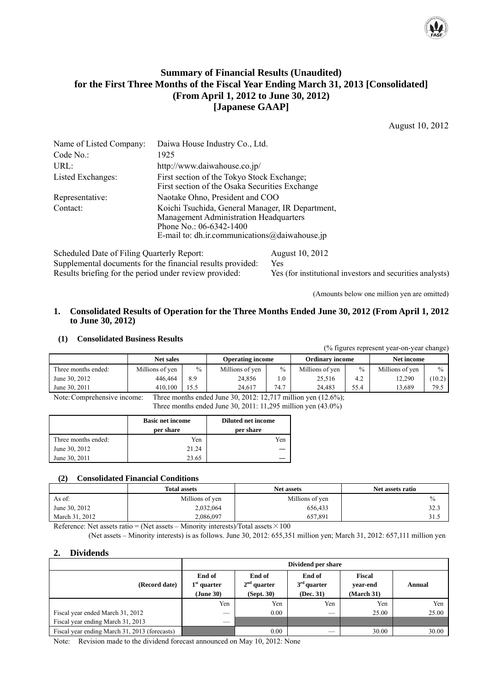

## **Summary of Financial Results (Unaudited) for the First Three Months of the Fiscal Year Ending March 31, 2013 [Consolidated] (From April 1, 2012 to June 30, 2012) [Japanese GAAP]**

August 10, 2012

| Name of Listed Company:                                                                                                                             | Daiwa House Industry Co., Ltd.                                                                                                                                               |
|-----------------------------------------------------------------------------------------------------------------------------------------------------|------------------------------------------------------------------------------------------------------------------------------------------------------------------------------|
| Code No.                                                                                                                                            | 1925                                                                                                                                                                         |
| URL:                                                                                                                                                | http://www.daiwahouse.co.jp/                                                                                                                                                 |
| Listed Exchanges:                                                                                                                                   | First section of the Tokyo Stock Exchange;<br>First section of the Osaka Securities Exchange                                                                                 |
| Representative:                                                                                                                                     | Naotake Ohno, President and COO                                                                                                                                              |
| Contact:                                                                                                                                            | Koichi Tsuchida, General Manager, IR Department,<br>Management Administration Headquarters<br>Phone No.: $06-6342-1400$<br>E-mail to: dh.ir.communications $@$ daiwahouse.jp |
| $0.1 \pm 1.1$ $\mathbb{R}$ $\cdot$ $\mathbb{R}$ $\mathbb{R}$ $\cdot$ $\mathbb{R}$ $\cdot$ $\mathbb{R}$ $\cdot$ $\cdot$ $\mathbb{R}$ $\cdot$ $\cdot$ | $\lambda$ $\lambda$ $\lambda$ $\lambda$ $\lambda$ $\lambda$                                                                                                                  |

Scheduled Date of Filing Quarterly Report: August 10, 2012 Supplemental documents for the financial results provided: Yes Results briefing for the period under review provided: Yes (for institutional investors and securities analysts)

(Amounts below one million yen are omitted)

#### **1. Consolidated Results of Operation for the Three Months Ended June 30, 2012 (From April 1, 2012 to June 30, 2012)**

### **(1) Consolidated Business Results**

(% figures represent year-on-year change)

|                     | <b>Net sales</b> |      | <b>Operating income</b> |               | <b>Ordinary income</b> |               | Net income      |               |
|---------------------|------------------|------|-------------------------|---------------|------------------------|---------------|-----------------|---------------|
| Three months ended: | Millions of ven  | $\%$ | Millions of ven         | $\frac{0}{0}$ | Millions of yen        | $\frac{0}{0}$ | Millions of yen | $\frac{0}{0}$ |
| June 30, 2012       | 446.464          | 8.9  | 24,856                  |               | 25.516                 | 4.2           | 12.290          | (10.2)        |
| June 30, 2011       | 410.100          | 15.5 | 24.617                  | 74.7          | 24.483                 | 55.4          | 13.689          | 79.5          |

Note: Comprehensive income: Three months ended June 30, 2012: 12,717 million yen (12.6%); Three months ended June 30, 2011: 11,295 million yen (43.0%)

|                     | <b>Basic net income</b><br>per share | <b>Diluted net income</b><br>per share |
|---------------------|--------------------------------------|----------------------------------------|
| Three months ended: | Yen                                  | Yen                                    |
| June 30, 2012       | 21.24                                |                                        |
| June 30, 2011       | 23.65                                |                                        |

#### **(2) Consolidated Financial Conditions**

|                | <b>Total assets</b> | <b>Net assets</b> | Net assets ratio |
|----------------|---------------------|-------------------|------------------|
| As of:         | Millions of yen     | Millions of yen   | $\%$             |
| June 30, 2012  | 2,032,064           | 656,433           | 32.3             |
| March 31, 2012 | 2.086.097           | 657.891           | 31.5             |

Reference: Net assets ratio = (Net assets – Minority interests)/Total assets  $\times$  100 (Net assets – Minority interests) is as follows. June 30, 2012: 655,351 million yen; March 31, 2012: 657,111 million yen

#### **2. Dividends**

|                                               | Dividend per share                   |                                       |                                      |                                |        |  |
|-----------------------------------------------|--------------------------------------|---------------------------------------|--------------------------------------|--------------------------------|--------|--|
| (Record date)                                 | End of<br>$1st$ quarter<br>(June 30) | End of<br>$2nd$ quarter<br>(Sept. 30) | End of<br>$3rd$ quarter<br>(Dec. 31) | Fiscal<br>vear-end<br>March 31 | Annual |  |
|                                               | Yen                                  | Yen                                   | Yen                                  | Yen                            | Yen    |  |
| Fiscal year ended March 31, 2012              | __                                   | 0.00                                  |                                      | 25.00                          | 25.00  |  |
| Fiscal year ending March 31, 2013             | __                                   |                                       |                                      |                                |        |  |
| Fiscal year ending March 31, 2013 (forecasts) |                                      | 0.00                                  |                                      | 30.00                          | 30.00  |  |

Note: Revision made to the dividend forecast announced on May 10, 2012: None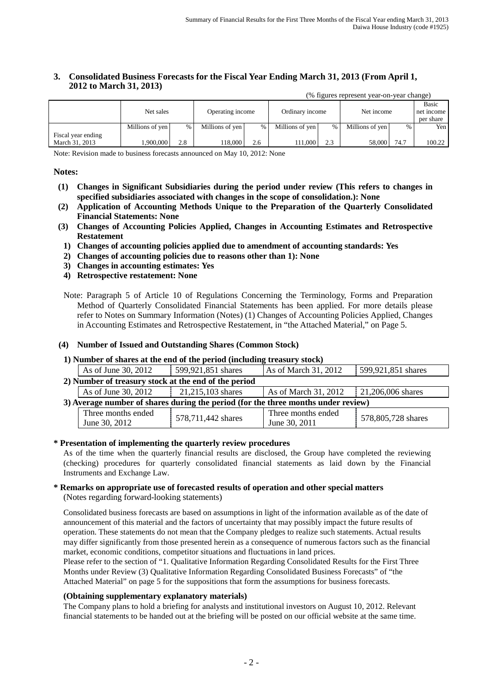#### **3. Consolidated Business Forecasts for the Fiscal Year Ending March 31, 2013 (From April 1, 2012 to March 31, 2013)** (% figures represent year-on-year change)

|                    | $\alpha$ ngures represent year-on-year enange) |      |                 |                                     |                 |            |                 |            |           |
|--------------------|------------------------------------------------|------|-----------------|-------------------------------------|-----------------|------------|-----------------|------------|-----------|
|                    |                                                |      |                 |                                     |                 |            |                 | Basic      |           |
|                    | Net sales                                      |      |                 | Operating income<br>Ordinary income |                 | Net income |                 | net income |           |
|                    |                                                |      |                 |                                     |                 |            |                 |            | per share |
|                    | Millions of yen                                | $\%$ | Millions of yen | %                                   | Millions of yen | %          | Millions of yen | $\%$       | Yen I     |
| Fiscal year ending |                                                |      |                 |                                     |                 |            |                 |            |           |
| March 31, 2013     | .900.000                                       | 2.8  | 18,000          | 2.6                                 | 111,000         | 2.3        | 58,000          | 74.7       | 100.22    |

Note: Revision made to business forecasts announced on May 10, 2012: None

#### **Notes:**

- **(1) Changes in Significant Subsidiaries during the period under review (This refers to changes in specified subsidiaries associated with changes in the scope of consolidation.): None**
- **(2) Application of Accounting Methods Unique to the Preparation of the Quarterly Consolidated Financial Statements: None**
- **(3) Changes of Accounting Policies Applied, Changes in Accounting Estimates and Retrospective Restatement**
	- **1) Changes of accounting policies applied due to amendment of accounting standards: Yes**
	- **2) Changes of accounting policies due to reasons other than 1): None**
	- **3) Changes in accounting estimates: Yes**
	- **4) Retrospective restatement: None**

#### **(4) Number of Issued and Outstanding Shares (Common Stock)**

**1) Number of shares at the end of the period (including treasury stock)**

| As of June 30, 2012                                                               | 599,921,851 shares | As of March 31, 2012 | 599,921,851 shares  |  |
|-----------------------------------------------------------------------------------|--------------------|----------------------|---------------------|--|
| 2) Number of treasury stock at the end of the period                              |                    |                      |                     |  |
| As of June 30, 2012                                                               | 21,215,103 shares  | As of March 31, 2012 | $21,206,006$ shares |  |
| 3) Average number of shares during the period (for the three months under review) |                    |                      |                     |  |
| Three months ended                                                                | 578,711,442 shares | Three months ended   | 578,805,728 shares  |  |
| June 30, 2012                                                                     |                    | June 30, 2011        |                     |  |

#### **\* Presentation of implementing the quarterly review procedures**

As of the time when the quarterly financial results are disclosed, the Group have completed the reviewing (checking) procedures for quarterly consolidated financial statements as laid down by the Financial Instruments and Exchange Law.

#### **\* Remarks on appropriate use of forecasted results of operation and other special matters** (Notes regarding forward-looking statements)

Consolidated business forecasts are based on assumptions in light of the information available as of the date of announcement of this material and the factors of uncertainty that may possibly impact the future results of operation. These statements do not mean that the Company pledges to realize such statements. Actual results may differ significantly from those presented herein as a consequence of numerous factors such as the financial market, economic conditions, competitor situations and fluctuations in land prices.

Please refer to the section of "1. Qualitative Information Regarding Consolidated Results for the First Three Months under Review (3) Qualitative Information Regarding Consolidated Business Forecasts" of "the Attached Material" on page 5 for the suppositions that form the assumptions for business forecasts.

#### **(Obtaining supplementary explanatory materials)**

The Company plans to hold a briefing for analysts and institutional investors on August 10, 2012. Relevant financial statements to be handed out at the briefing will be posted on our official website at the same time.

Note: Paragraph 5 of Article 10 of Regulations Concerning the Terminology, Forms and Preparation Method of Quarterly Consolidated Financial Statements has been applied. For more details please refer to Notes on Summary Information (Notes) (1) Changes of Accounting Policies Applied, Changes in Accounting Estimates and Retrospective Restatement, in "the Attached Material," on Page 5.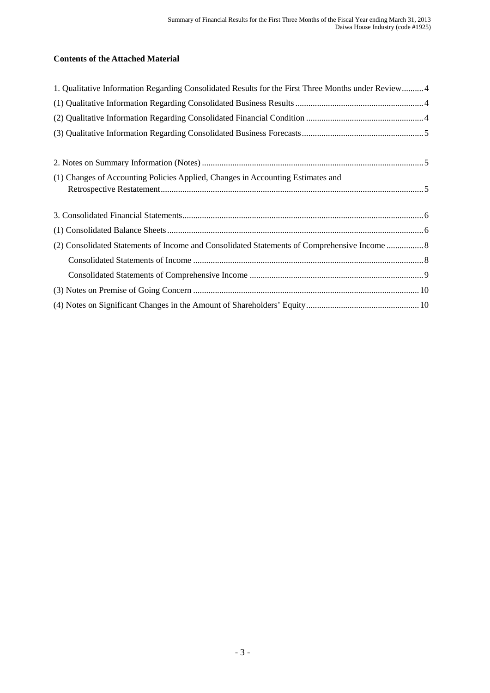# **Contents of the Attached Material**

| 1. Qualitative Information Regarding Consolidated Results for the First Three Months under Review 4 |  |
|-----------------------------------------------------------------------------------------------------|--|
|                                                                                                     |  |
|                                                                                                     |  |
|                                                                                                     |  |
|                                                                                                     |  |
|                                                                                                     |  |
| (1) Changes of Accounting Policies Applied, Changes in Accounting Estimates and                     |  |
|                                                                                                     |  |
|                                                                                                     |  |
|                                                                                                     |  |
|                                                                                                     |  |
|                                                                                                     |  |
|                                                                                                     |  |
|                                                                                                     |  |
|                                                                                                     |  |
|                                                                                                     |  |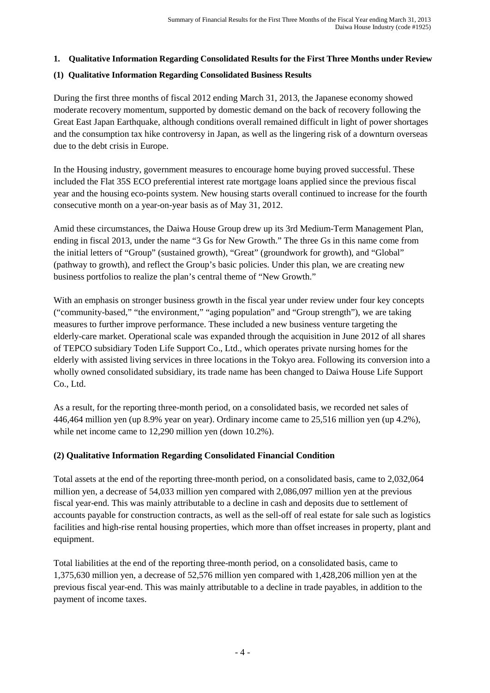### **1. Qualitative Information Regarding Consolidated Results for the First Three Months under Review**

### **(1) Qualitative Information Regarding Consolidated Business Results**

During the first three months of fiscal 2012 ending March 31, 2013, the Japanese economy showed moderate recovery momentum, supported by domestic demand on the back of recovery following the Great East Japan Earthquake, although conditions overall remained difficult in light of power shortages and the consumption tax hike controversy in Japan, as well as the lingering risk of a downturn overseas due to the debt crisis in Europe.

In the Housing industry, government measures to encourage home buying proved successful. These included the Flat 35S ECO preferential interest rate mortgage loans applied since the previous fiscal year and the housing eco-points system. New housing starts overall continued to increase for the fourth consecutive month on a year-on-year basis as of May 31, 2012.

Amid these circumstances, the Daiwa House Group drew up its 3rd Medium-Term Management Plan, ending in fiscal 2013, under the name "3 Gs for New Growth." The three Gs in this name come from the initial letters of "Group" (sustained growth), "Great" (groundwork for growth), and "Global" (pathway to growth), and reflect the Group's basic policies. Under this plan, we are creating new business portfolios to realize the plan's central theme of "New Growth."

With an emphasis on stronger business growth in the fiscal year under review under four key concepts ("community-based," "the environment," "aging population" and "Group strength"), we are taking measures to further improve performance. These included a new business venture targeting the elderly-care market. Operational scale was expanded through the acquisition in June 2012 of all shares of TEPCO subsidiary Toden Life Support Co., Ltd., which operates private nursing homes for the elderly with assisted living services in three locations in the Tokyo area. Following its conversion into a wholly owned consolidated subsidiary, its trade name has been changed to Daiwa House Life Support Co., Ltd.

As a result, for the reporting three-month period, on a consolidated basis, we recorded net sales of 446,464 million yen (up 8.9% year on year). Ordinary income came to 25,516 million yen (up 4.2%), while net income came to 12,290 million yen (down 10.2%).

### **(2) Qualitative Information Regarding Consolidated Financial Condition**

Total assets at the end of the reporting three-month period, on a consolidated basis, came to 2,032,064 million yen, a decrease of 54,033 million yen compared with 2,086,097 million yen at the previous fiscal year-end. This was mainly attributable to a decline in cash and deposits due to settlement of accounts payable for construction contracts, as well as the sell-off of real estate for sale such as logistics facilities and high-rise rental housing properties, which more than offset increases in property, plant and equipment.

Total liabilities at the end of the reporting three-month period, on a consolidated basis, came to 1,375,630 million yen, a decrease of 52,576 million yen compared with 1,428,206 million yen at the previous fiscal year-end. This was mainly attributable to a decline in trade payables, in addition to the payment of income taxes.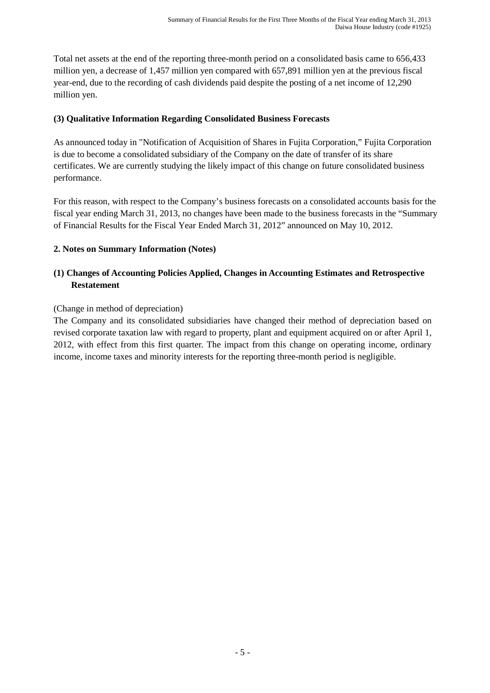Total net assets at the end of the reporting three-month period on a consolidated basis came to 656,433 million yen, a decrease of 1,457 million yen compared with 657,891 million yen at the previous fiscal year-end, due to the recording of cash dividends paid despite the posting of a net income of 12,290 million yen.

### **(3) Qualitative Information Regarding Consolidated Business Forecasts**

As announced today in "Notification of Acquisition of Shares in Fujita Corporation," Fujita Corporation is due to become a consolidated subsidiary of the Company on the date of transfer of its share certificates. We are currently studying the likely impact of this change on future consolidated business performance.

For this reason, with respect to the Company's business forecasts on a consolidated accounts basis for the fiscal year ending March 31, 2013, no changes have been made to the business forecasts in the "Summary of Financial Results for the Fiscal Year Ended March 31, 2012" announced on May 10, 2012.

### **2. Notes on Summary Information (Notes)**

# **(1) Changes of Accounting Policies Applied, Changes in Accounting Estimates and Retrospective Restatement**

(Change in method of depreciation)

The Company and its consolidated subsidiaries have changed their method of depreciation based on revised corporate taxation law with regard to property, plant and equipment acquired on or after April 1, 2012, with effect from this first quarter. The impact from this change on operating income, ordinary income, income taxes and minority interests for the reporting three-month period is negligible.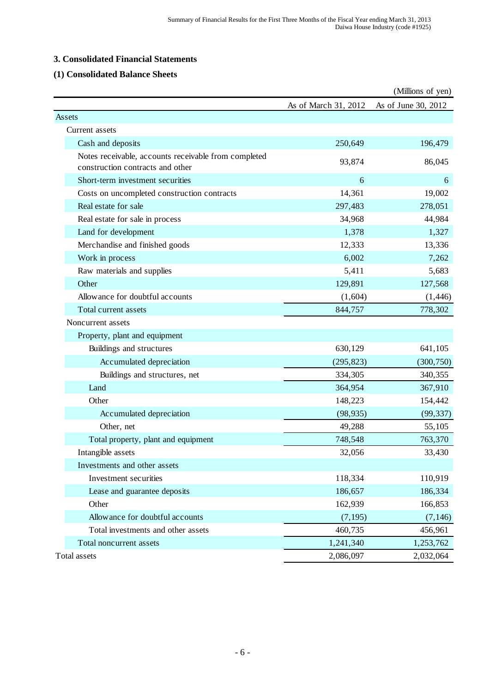### **3. Consolidated Financial Statements**

# **(1) Consolidated Balance Sheets**

|                                                                                          |                      | (Millions of yen)   |
|------------------------------------------------------------------------------------------|----------------------|---------------------|
|                                                                                          | As of March 31, 2012 | As of June 30, 2012 |
| Assets                                                                                   |                      |                     |
| Current assets                                                                           |                      |                     |
| Cash and deposits                                                                        | 250,649              | 196,479             |
| Notes receivable, accounts receivable from completed<br>construction contracts and other | 93,874               | 86,045              |
| Short-term investment securities                                                         | 6                    | 6                   |
| Costs on uncompleted construction contracts                                              | 14,361               | 19,002              |
| Real estate for sale                                                                     | 297,483              | 278,051             |
| Real estate for sale in process                                                          | 34,968               | 44,984              |
| Land for development                                                                     | 1,378                | 1,327               |
| Merchandise and finished goods                                                           | 12,333               | 13,336              |
| Work in process                                                                          | 6,002                | 7,262               |
| Raw materials and supplies                                                               | 5,411                | 5,683               |
| Other                                                                                    | 129,891              | 127,568             |
| Allowance for doubtful accounts                                                          | (1,604)              | (1, 446)            |
| Total current assets                                                                     | 844,757              | 778,302             |
| Noncurrent assets                                                                        |                      |                     |
| Property, plant and equipment                                                            |                      |                     |
| Buildings and structures                                                                 | 630,129              | 641,105             |
| Accumulated depreciation                                                                 | (295, 823)           | (300, 750)          |
| Buildings and structures, net                                                            | 334,305              | 340,355             |
| Land                                                                                     | 364,954              | 367,910             |
| Other                                                                                    | 148,223              | 154,442             |
| Accumulated depreciation                                                                 | (98, 935)            | (99, 337)           |
| Other, net                                                                               | 49,288               | 55,105              |
| Total property, plant and equipment                                                      | 748,548              | 763,370             |
| Intangible assets                                                                        | 32,056               | 33,430              |
| Investments and other assets                                                             |                      |                     |
| Investment securities                                                                    | 118,334              | 110,919             |
| Lease and guarantee deposits                                                             | 186,657              | 186,334             |
| Other                                                                                    | 162,939              | 166,853             |
| Allowance for doubtful accounts                                                          | (7, 195)             | (7, 146)            |
| Total investments and other assets                                                       | 460,735              | 456,961             |
| Total noncurrent assets                                                                  | 1,241,340            | 1,253,762           |
| Total assets                                                                             | 2,086,097            | 2,032,064           |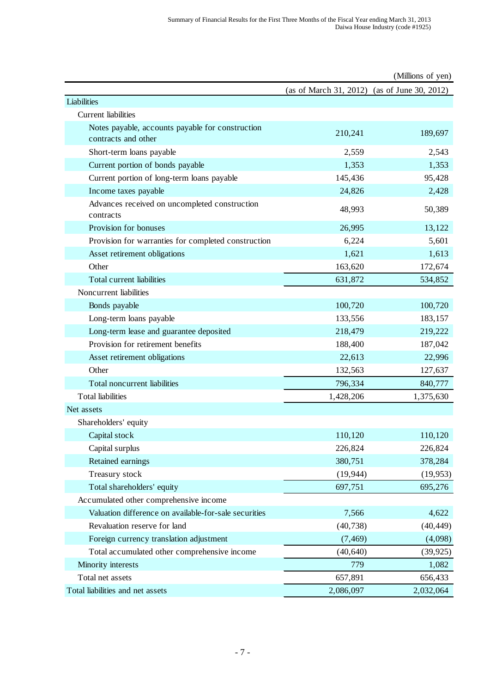|                                                                         |                        | (Millions of yen)     |
|-------------------------------------------------------------------------|------------------------|-----------------------|
|                                                                         | (as of March 31, 2012) | (as of June 30, 2012) |
| Liabilities                                                             |                        |                       |
| <b>Current</b> liabilities                                              |                        |                       |
| Notes payable, accounts payable for construction<br>contracts and other | 210,241                | 189,697               |
| Short-term loans payable                                                | 2,559                  | 2,543                 |
| Current portion of bonds payable                                        | 1,353                  | 1,353                 |
| Current portion of long-term loans payable                              | 145,436                | 95,428                |
| Income taxes payable                                                    | 24,826                 | 2,428                 |
| Advances received on uncompleted construction<br>contracts              | 48,993                 | 50,389                |
| Provision for bonuses                                                   | 26,995                 | 13,122                |
| Provision for warranties for completed construction                     | 6,224                  | 5,601                 |
| Asset retirement obligations                                            | 1,621                  | 1,613                 |
| Other                                                                   | 163,620                | 172,674               |
| Total current liabilities                                               | 631,872                | 534,852               |
| Noncurrent liabilities                                                  |                        |                       |
| Bonds payable                                                           | 100,720                | 100,720               |
| Long-term loans payable                                                 | 133,556                | 183,157               |
| Long-term lease and guarantee deposited                                 | 218,479                | 219,222               |
| Provision for retirement benefits                                       | 188,400                | 187,042               |
| Asset retirement obligations                                            | 22,613                 | 22,996                |
| Other                                                                   | 132,563                | 127,637               |
| Total noncurrent liabilities                                            | 796,334                | 840,777               |
| <b>Total liabilities</b>                                                | 1,428,206              | 1,375,630             |
| Net assets                                                              |                        |                       |
| Shareholders' equity                                                    |                        |                       |
| Capital stock                                                           | 110,120                | 110,120               |
| Capital surplus                                                         | 226,824                | 226,824               |
| Retained earnings                                                       | 380,751                | 378,284               |
| Treasury stock                                                          | (19, 944)              | (19, 953)             |
| Total shareholders' equity                                              | 697,751                | 695,276               |
| Accumulated other comprehensive income                                  |                        |                       |
| Valuation difference on available-for-sale securities                   | 7,566                  | 4,622                 |
| Revaluation reserve for land                                            | (40, 738)              | (40, 449)             |
| Foreign currency translation adjustment                                 | (7, 469)               | (4,098)               |
| Total accumulated other comprehensive income                            | (40, 640)              | (39, 925)             |
| Minority interests                                                      | 779                    | 1,082                 |
| Total net assets                                                        | 657,891                | 656,433               |
| Total liabilities and net assets                                        | 2,086,097              | 2,032,064             |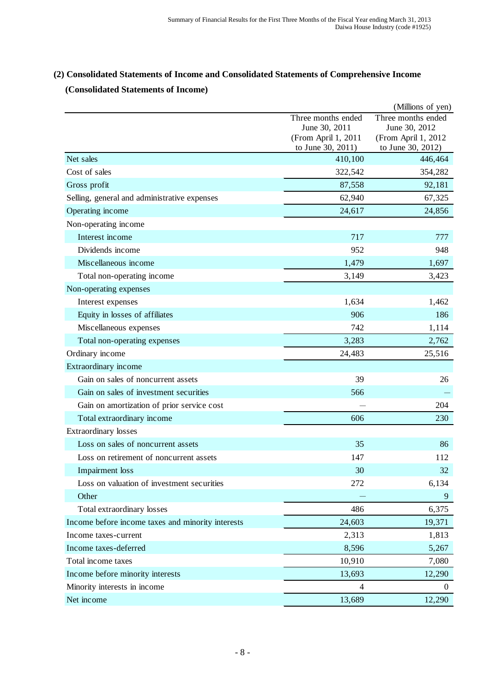# **(2) Consolidated Statements of Income and Consolidated Statements of Comprehensive Income (Consolidated Statements of Income)**

|                                                   |                                          | (Millions of yen)                        |
|---------------------------------------------------|------------------------------------------|------------------------------------------|
|                                                   | Three months ended                       | Three months ended                       |
|                                                   | June 30, 2011                            | June 30, 2012                            |
|                                                   | (From April 1, 2011<br>to June 30, 2011) | (From April 1, 2012<br>to June 30, 2012) |
| Net sales                                         | 410,100                                  | 446,464                                  |
| Cost of sales                                     | 322,542                                  | 354,282                                  |
| Gross profit                                      | 87,558                                   | 92,181                                   |
| Selling, general and administrative expenses      | 62,940                                   | 67,325                                   |
| Operating income                                  | 24,617                                   | 24,856                                   |
| Non-operating income                              |                                          |                                          |
| Interest income                                   | 717                                      | 777                                      |
| Dividends income                                  | 952                                      | 948                                      |
| Miscellaneous income                              | 1,479                                    | 1,697                                    |
| Total non-operating income                        | 3,149                                    | 3,423                                    |
| Non-operating expenses                            |                                          |                                          |
| Interest expenses                                 | 1,634                                    | 1,462                                    |
| Equity in losses of affiliates                    | 906                                      | 186                                      |
| Miscellaneous expenses                            | 742                                      | 1,114                                    |
| Total non-operating expenses                      | 3,283                                    | 2,762                                    |
| Ordinary income                                   | 24,483                                   | 25,516                                   |
| Extraordinary income                              |                                          |                                          |
| Gain on sales of noncurrent assets                | 39                                       | 26                                       |
| Gain on sales of investment securities            | 566                                      |                                          |
| Gain on amortization of prior service cost        |                                          | 204                                      |
| Total extraordinary income                        | 606                                      | 230                                      |
| <b>Extraordinary losses</b>                       |                                          |                                          |
| Loss on sales of noncurrent assets                | 35                                       | 86                                       |
| Loss on retirement of noncurrent assets           | 147                                      | 112                                      |
| Impairment loss                                   | 30                                       | 32                                       |
| Loss on valuation of investment securities        | 272                                      | 6,134                                    |
| Other                                             |                                          | 9                                        |
| Total extraordinary losses                        | 486                                      | 6,375                                    |
| Income before income taxes and minority interests | 24,603                                   | 19,371                                   |
| Income taxes-current                              | 2,313                                    | 1,813                                    |
| Income taxes-deferred                             | 8,596                                    | 5,267                                    |
| Total income taxes                                | 10,910                                   | 7,080                                    |
| Income before minority interests                  | 13,693                                   | 12,290                                   |
| Minority interests in income                      | 4                                        | $\theta$                                 |
| Net income                                        | 13,689                                   | 12,290                                   |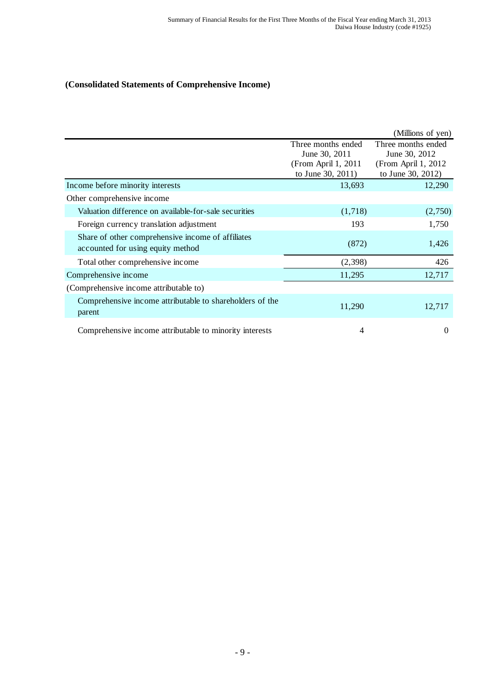# **(Consolidated Statements of Comprehensive Income)**

|                                                                                        |                                                                                  | (Millions of yen)                                                                |
|----------------------------------------------------------------------------------------|----------------------------------------------------------------------------------|----------------------------------------------------------------------------------|
|                                                                                        | Three months ended<br>June 30, 2011<br>(From April 1, 2011)<br>to June 30, 2011) | Three months ended<br>June 30, 2012<br>(From April 1, 2012)<br>to June 30, 2012) |
| Income before minority interests                                                       | 13,693                                                                           | 12,290                                                                           |
| Other comprehensive income                                                             |                                                                                  |                                                                                  |
| Valuation difference on available-for-sale securities                                  | (1,718)                                                                          | (2,750)                                                                          |
| Foreign currency translation adjustment                                                | 193                                                                              | 1,750                                                                            |
| Share of other comprehensive income of affiliates<br>accounted for using equity method | (872)                                                                            | 1,426                                                                            |
| Total other comprehensive income                                                       | (2,398)                                                                          | 426                                                                              |
| Comprehensive income                                                                   | 11,295                                                                           | 12,717                                                                           |
| (Comprehensive income attributable to)                                                 |                                                                                  |                                                                                  |
| Comprehensive income attributable to shareholders of the<br>parent                     | 11,290                                                                           | 12,717                                                                           |
| Comprehensive income attributable to minority interests                                | 4                                                                                | $\Omega$                                                                         |